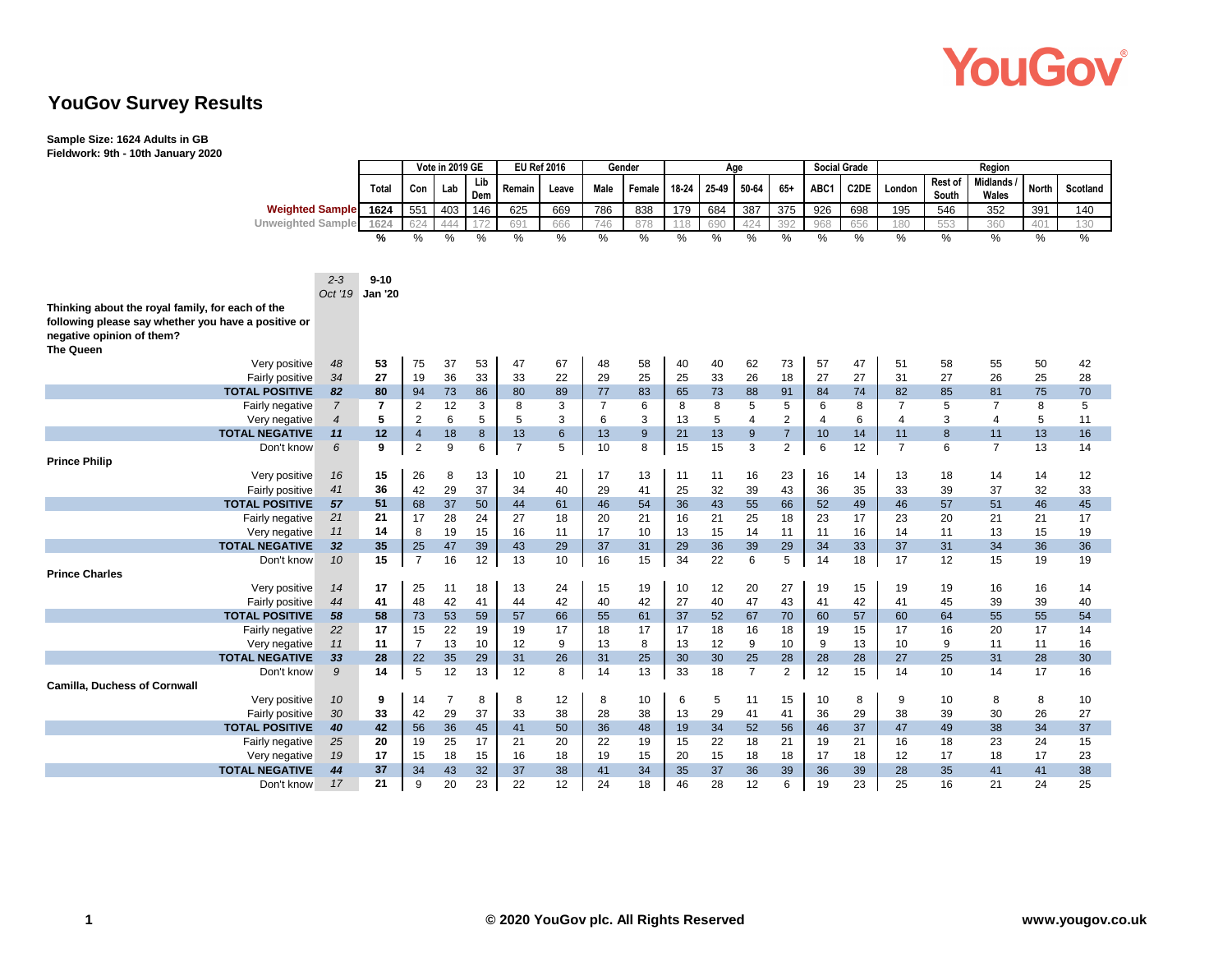

### **YouGov Survey Results**

#### **Sample Size: 1624 Adults in GB**

**Fieldwork: 9th - 10th January 2020**

|                                                     |                          | Vote in 2019 GE |                               |          | <b>EU Ref 2016</b> |                   |          | Gender               |                  |          | Age      |                |                | <b>Social Grade</b> |                   |                      |                  |                         |              |                 |
|-----------------------------------------------------|--------------------------|-----------------|-------------------------------|----------|--------------------|-------------------|----------|----------------------|------------------|----------|----------|----------------|----------------|---------------------|-------------------|----------------------|------------------|-------------------------|--------------|-----------------|
|                                                     |                          | Total           | Con                           | Lab      | Lib<br>Dem         | Remain            | Leave    | Male                 | Female           | 18-24    | 25-49    | 50-64          | $65+$          | ABC1                | C <sub>2</sub> DE | London               | Rest of<br>South | Midlands<br>Wales       | <b>North</b> | <b>Scotland</b> |
| <b>Weighted Sample</b>                              |                          | 1624            | 551                           | 403      | 146                | 625               | 669      | 786                  | 838              | 179      | 684      | 387            | 375            | 926                 | 698               | 195                  | 546              | 352                     | 391          | 140             |
| <b>Unweighted Sample</b>                            |                          | 1624            | 624                           | 444      | 172                | 691               | 666      | 746                  | 878              | 118      | 690      | 424            | 392            | 968                 | 656               | 180                  | 553              | 360                     | 401          | 130             |
|                                                     |                          | $\frac{9}{6}$   | %                             | $\%$     | $\frac{0}{0}$      | $\%$              | $\%$     | $\%$                 | $\%$             | $\%$     | $\%$     | %              | %              | $\%$                | %                 | $\%$                 | $\%$             | $\%$                    | %            | $\%$            |
|                                                     |                          |                 |                               |          |                    |                   |          |                      |                  |          |          |                |                |                     |                   |                      |                  |                         |              |                 |
|                                                     |                          |                 |                               |          |                    |                   |          |                      |                  |          |          |                |                |                     |                   |                      |                  |                         |              |                 |
|                                                     | $2 - 3$                  | $9 - 10$        |                               |          |                    |                   |          |                      |                  |          |          |                |                |                     |                   |                      |                  |                         |              |                 |
|                                                     | Oct '19                  | <b>Jan '20</b>  |                               |          |                    |                   |          |                      |                  |          |          |                |                |                     |                   |                      |                  |                         |              |                 |
| Thinking about the royal family, for each of the    |                          |                 |                               |          |                    |                   |          |                      |                  |          |          |                |                |                     |                   |                      |                  |                         |              |                 |
| following please say whether you have a positive or |                          |                 |                               |          |                    |                   |          |                      |                  |          |          |                |                |                     |                   |                      |                  |                         |              |                 |
| negative opinion of them?                           |                          |                 |                               |          |                    |                   |          |                      |                  |          |          |                |                |                     |                   |                      |                  |                         |              |                 |
| <b>The Queen</b>                                    |                          |                 |                               |          |                    |                   |          |                      |                  |          |          |                |                |                     |                   |                      |                  |                         |              |                 |
| Very positive                                       | 48                       | 53              | 75                            | 37       | 53                 | 47                | 67       | 48                   | 58               | 40       | 40       | 62             | 73             | 57                  | 47                | 51<br>31             | 58               | 55                      | 50           | 42              |
| Fairly positive<br><b>TOTAL POSITIVE</b>            | 34                       | 27<br>80        | 19                            | 36       | 33                 | 33                | 22       | 29                   | 25               | 25       | 33<br>73 | 26<br>88       | 18             | 27                  | 27                |                      | 27<br>85         | 26<br>81                | 25           | 28              |
| Fairly negative                                     | 82<br>$\overline{7}$     | $\overline{7}$  | 94<br>$\overline{\mathbf{c}}$ | 73<br>12 | 86<br>3            | 80<br>8           | 89<br>3  | 77<br>$\overline{7}$ | 83<br>6          | 65<br>8  | 8        | 5              | 91<br>5        | 84<br>6             | 74<br>8           | 82<br>$\overline{7}$ | 5                | $\overline{7}$          | 75<br>8      | 70<br>5         |
| Very negative                                       | $\overline{\mathcal{A}}$ | 5               | $\overline{2}$                | 6        | 5                  | 5                 | 3        | 6                    | 3                | 13       | 5        | $\overline{4}$ | $\overline{c}$ | $\overline{4}$      | 6                 | $\overline{4}$       | 3                | $\overline{\mathbf{4}}$ | 5            | 11              |
| <b>TOTAL NEGATIVE</b>                               | 11                       | 12              | $\overline{4}$                | 18       | $\boldsymbol{8}$   | 13                | 6        | 13                   | $\boldsymbol{9}$ | 21       | 13       | 9              | $\overline{7}$ | 10                  | 14                | 11                   | 8                | 11                      | 13           | 16              |
| Don't know                                          | 6                        | 9               | $\overline{2}$                | 9        | 6                  | $\overline{7}$    | 5        | 10                   | 8                | 15       | 15       | 3              | $\overline{2}$ | 6                   | 12                | $\overline{7}$       | 6                | $\overline{7}$          | 13           | 14              |
| <b>Prince Philip</b>                                |                          |                 |                               |          |                    |                   |          |                      |                  |          |          |                |                |                     |                   |                      |                  |                         |              |                 |
| Very positive                                       | 16                       | 15              | 26                            | 8        | 13                 | 10                | 21       | 17                   | 13               | 11       | 11       | 16             | 23             | 16                  | 14                | 13                   | 18               | 14                      | 14           | 12              |
| Fairly positive                                     | 41                       | 36              | 42                            | 29       | 37                 | 34                | 40       | 29                   | 41               | 25       | 32       | 39             | 43             | 36                  | 35                | 33                   | 39               | 37                      | 32           | 33              |
| <b>TOTAL POSITIVE</b>                               | 57                       | 51              | 68                            | 37       | 50                 | 44                | 61       | 46                   | 54               | 36       | 43       | 55             | 66             | 52                  | 49                | 46                   | 57               | 51                      | 46           | 45              |
| Fairly negative                                     | 21                       | 21              | 17                            | 28       | 24                 | 27                | 18       | 20                   | 21               | 16       | 21       | 25             | 18             | 23                  | 17                | 23                   | 20               | 21                      | 21           | 17              |
| Very negative                                       | 11                       | 14              | 8                             | 19       | 15                 | 16                | 11       | 17                   | 10               | 13       | 15       | 14             | 11             | 11                  | 16                | 14                   | 11               | 13                      | 15           | 19              |
| <b>TOTAL NEGATIVE</b>                               | 32                       | 35              | 25                            | 47       | 39                 | 43                | 29       | 37                   | 31               | 29       | 36       | 39             | 29             | 34                  | 33                | 37                   | 31               | 34                      | 36           | 36              |
| Don't know                                          | 10                       | 15              | $\overline{7}$                | 16       | 12                 | 13                | 10       | 16                   | 15               | 34       | 22       | 6              | 5              | 14                  | 18                | 17                   | 12               | 15                      | 19           | 19              |
| <b>Prince Charles</b>                               |                          |                 |                               |          |                    |                   |          |                      |                  |          |          |                |                |                     |                   |                      |                  |                         |              |                 |
| Very positive                                       | 14                       | 17              | 25                            | 11       | 18                 | 13                | 24       | 15                   | 19               | 10       | 12       | 20             | 27             | 19                  | 15                | 19                   | 19               | 16                      | 16           | 14              |
| <b>Fairly positive</b>                              | 44                       | 41              | 48                            | 42       | 41                 | 44                | 42       | 40                   | 42               | 27       | 40       | 47             | 43             | 41                  | 42                | 41                   | 45               | 39                      | 39           | 40              |
| <b>TOTAL POSITIVE</b>                               | 58                       | 58              | 73                            | 53       | 59                 | 57                | 66       | 55                   | 61               | 37       | 52       | 67             | 70             | 60                  | 57                | 60                   | 64               | 55                      | 55           | 54              |
| Fairly negative                                     | 22                       | 17              | 15                            | 22       | 19                 | 19                | 17       | 18                   | 17               | 17       | 18       | 16             | 18             | 19                  | 15                | 17                   | 16               | 20                      | 17           | 14              |
| Very negative                                       | 11                       | 11              | $\overline{7}$                | 13       | 10                 | $12 \overline{ }$ | 9        | 13                   | 8                | 13       | 12       | 9              | 10             | 9                   | 13                | 10                   | 9                | 11                      | 11           | 16              |
| <b>TOTAL NEGATIVE</b>                               | 33                       | 28              | 22                            | 35       | 29                 | 31                | 26       | 31                   | 25               | 30       | 30       | 25             | 28             | 28                  | 28                | 27                   | 25               | 31                      | 28           | 30              |
| Don't know                                          | 9                        | 14              | $\sqrt{5}$                    | 12       | 13                 | 12                | 8        | 14                   | 13               | 33       | 18       | $\overline{7}$ | $\overline{c}$ | 12                  | 15                | 14                   | 10               | 14                      | 17           | 16              |
| <b>Camilla, Duchess of Cornwall</b>                 |                          |                 |                               |          |                    |                   |          |                      |                  |          |          |                |                |                     |                   |                      |                  |                         |              |                 |
| Very positive                                       | 10                       | 9               | 14                            | 7        | 8                  | 8                 | 12       | 8                    | 10               | 6        | 5        | 11             | 15             | 10                  | 8                 | 9                    | 10               | 8                       | 8            | 10              |
| Fairly positive                                     | $30\,$                   | 33              | 42                            | 29       | 37                 | 33                | 38       | 28                   | 38               | 13       | 29       | 41             | 41             | 36                  | 29                | 38                   | 39               | 30                      | 26           | 27              |
| <b>TOTAL POSITIVE</b>                               | 40                       | 42              | 56                            | 36       | 45                 | 41                | 50       | 36                   | 48               | 19       | 34       | 52             | 56             | 46                  | 37                | 47                   | 49               | 38                      | 34           | 37              |
| Fairly negative                                     | 25                       | 20              | 19                            | 25       | 17                 | 21                | 20       | 22                   | 19               | 15       | 22       | 18             | 21             | 19                  | 21                | 16                   | 18               | 23                      | 24           | 15              |
| Very negative<br><b>TOTAL NEGATIVE</b>              | 19<br>44                 | 17<br>37        | 15<br>34                      | 18       | 15<br>32           | 16<br>37          | 18<br>38 | 19<br>41             | 15<br>34         | 20<br>35 | 15<br>37 | 18<br>36       | 18<br>39       | 17<br>36            | 18<br>39          | 12<br>28             | 17<br>35         | 18<br>41                | 17<br>41     | 23<br>38        |
| Don't know                                          | 17                       | 21              | 9                             | 43<br>20 | 23                 | 22                | 12       | 24                   | 18               | 46       | 28       | 12             | 6              | 19                  | 23                | 25                   | 16               | 21                      | 24           | 25              |
|                                                     |                          |                 |                               |          |                    |                   |          |                      |                  |          |          |                |                |                     |                   |                      |                  |                         |              |                 |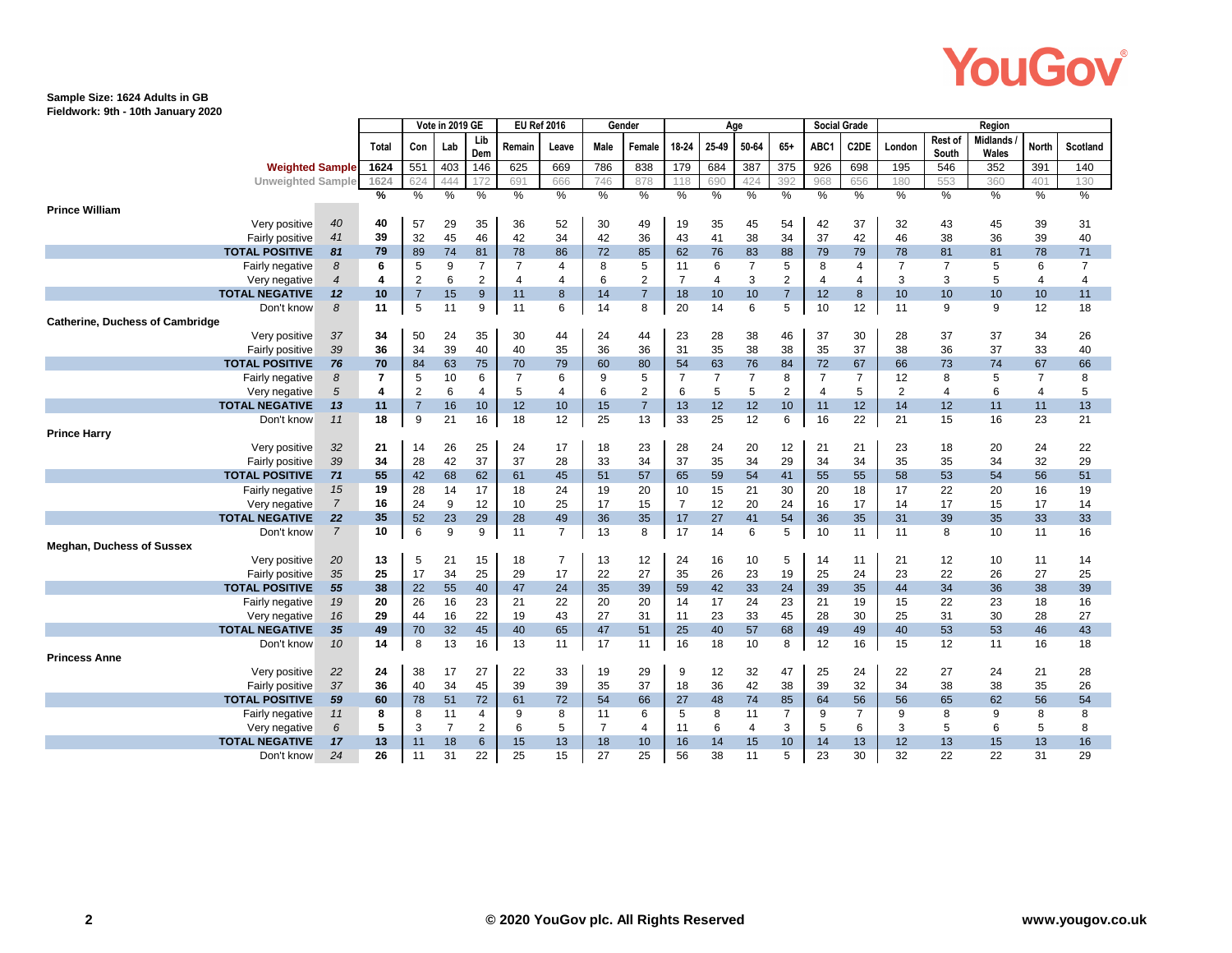# YouGov

#### **Sample Size: 1624 Adults in GB**

**Fieldwork: 9th - 10th January 2020**

|                                                      |                        | Vote in 2019 GE |                | <b>EU Ref 2016</b> |                | Gender         |                |                |                | Age            | <b>Social Grade</b> |                |                | Region         |                   |                 |                         |                          |                |                 |
|------------------------------------------------------|------------------------|-----------------|----------------|--------------------|----------------|----------------|----------------|----------------|----------------|----------------|---------------------|----------------|----------------|----------------|-------------------|-----------------|-------------------------|--------------------------|----------------|-----------------|
|                                                      |                        | <b>Total</b>    | Con            | Lab                | Lib<br>Dem     | Remain         | Leave          | <b>Male</b>    | Female         | 18-24          | 25-49               | 50-64          | $65+$          | ABC1           | C <sub>2</sub> DE | London          | Rest of<br><b>South</b> | Midlands<br><b>Wales</b> | North          | <b>Scotland</b> |
|                                                      | <b>Weighted Sample</b> | 1624            | 551            | 403                | 146            | 625            | 669            | 786            | 838            | 179            | 684                 | 387            | 375            | 926            | 698               | 195             | 546                     | 352                      | 391            | 140             |
| <b>Unweighted Sample</b>                             |                        | 1624            | 624            | 444                | 172            | 691            | 666            | 746            | 878            | 118            | 690                 | 424            | 392            | 968            | 656               | 180             | 553                     | 360                      | 401            | 130             |
|                                                      |                        | %               | $\%$           | %                  | %              | %              | %              | %              | %              | %              | %                   | %              | %              | %              | %                 | $\%$            | %                       | $\%$                     | %              | $\%$            |
| <b>Prince William</b>                                |                        |                 |                |                    |                |                |                |                |                |                |                     |                |                |                |                   |                 |                         |                          |                |                 |
| Very positive                                        | 40                     | 40              | 57             | 29                 | 35             | 36             | 52             | 30             | 49             | 19             | 35                  | 45             | 54             | 42             | 37                | 32              | 43                      | 45                       | 39             | 31              |
| Fairly positive                                      | 41                     | 39              | 32             | 45                 | 46             | 42             | 34             | 42             | 36             | 43             | 41                  | 38             | 34             | 37             | 42                | 46              | 38                      | 36                       | 39             | 40              |
| <b>TOTAL POSITIVE</b>                                | 81                     | 79              | 89             | 74                 | 81             | 78             | 86             | 72             | 85             | 62             | 76                  | 83             | 88             | 79             | 79                | 78              | 81                      | 81                       | 78             | 71              |
| Fairly negative                                      | 8                      | 6               | 5              | 9                  | $\overline{7}$ | 7              | 4              | 8              | 5              | 11             | 6                   | $\overline{7}$ | 5              | 8              | 4                 | $\overline{7}$  | $\overline{7}$          | 5                        | 6              | $\overline{7}$  |
| Very negative                                        | $\overline{4}$         | 4               | $\overline{2}$ | 6                  | $\overline{2}$ | $\overline{4}$ | 4              | 6              | $\overline{2}$ | $\overline{7}$ | $\overline{4}$      | 3              | $\overline{2}$ | $\overline{4}$ | 4                 | 3               | 3                       | 5                        | $\overline{4}$ | $\overline{4}$  |
| <b>TOTAL NEGATIVE</b>                                | 12                     | 10              | $\overline{7}$ | 15                 | 9              | 11             | 8              | 14             | $\overline{7}$ | 18             | 10                  | 10             | $\overline{7}$ | 12             | 8                 | 10              | 10                      | 10                       | 10             | 11              |
| Don't know<br><b>Catherine, Duchess of Cambridge</b> | $\boldsymbol{\delta}$  | 11              | 5              | 11                 | 9              | 11             | 6              | 14             | 8              | 20             | 14                  | 6              | 5              | 10             | 12                | 11              | 9                       | 9                        | 12             | 18              |
| Very positive                                        | 37                     | 34              | 50             | 24                 | 35             | 30             | 44             | 24             | 44             | 23             | 28                  | 38             | 46             | 37             | 30                | 28              | 37                      | 37                       | 34             | 26              |
| Fairly positive                                      | 39                     | 36              | 34             | 39                 | 40             | 40             | 35             | 36             | 36             | 31             | 35                  | 38             | 38             | 35             | 37                | 38              | 36                      | 37                       | 33             | 40              |
| <b>TOTAL POSITIVE</b>                                | 76                     | 70              | 84             | 63                 | 75             | 70             | 79             | 60             | 80             | 54             | 63                  | 76             | 84             | 72             | 67                | 66              | 73                      | 74                       | 67             | 66              |
| Fairly negative                                      | 8                      | 7               | 5              | 10                 | 6              | 7              | 6              | 9              | 5              | 7              | $\overline{7}$      | $\overline{7}$ | 8              | 7              | $\overline{7}$    | 12              | 8                       | 5                        | $\overline{7}$ | 8               |
| Very negative                                        | 5                      | 4               | $\overline{2}$ | 6                  | 4              | 5              | 4              | 6              | $\overline{2}$ | 6              | 5                   | 5              | $\overline{2}$ | 4              | 5                 | $\overline{2}$  | 4                       | 6                        | $\overline{4}$ | 5               |
| <b>TOTAL NEGATIVE</b>                                | 13                     | 11              | $\overline{7}$ | 16                 | 10             | 12             | 10             | 15             | $\overline{7}$ | 13             | 12                  | 12             | 10             | 11             | 12                | 14              | 12                      | 11                       | 11             | 13              |
| Don't know                                           | 11                     | 18              | 9              | 21                 | 16             | 18             | 12             | 25             | 13             | 33             | 25                  | 12             | 6              | 16             | 22                | 21              | 15                      | 16                       | 23             | 21              |
| <b>Prince Harry</b>                                  |                        |                 |                |                    |                |                |                |                |                |                |                     |                |                |                |                   |                 |                         |                          |                |                 |
| Very positive                                        | 32                     | 21              | 14             | 26                 | 25             | 24             | 17             | 18             | 23             | 28             | 24                  | 20             | 12             | 21             | 21                | 23              | 18                      | 20                       | 24             | 22              |
| Fairly positive                                      | 39                     | 34              | 28             | 42                 | 37             | 37             | 28             | 33             | 34             | 37             | 35                  | 34             | 29             | 34             | 34                | 35              | 35                      | 34                       | 32             | 29              |
| <b>TOTAL POSITIVE</b>                                | 71                     | 55              | 42             | 68                 | 62             | 61             | 45             | 51             | 57             | 65             | 59                  | 54             | 41             | 55             | 55                | 58              | 53                      | 54                       | 56             | 51              |
| Fairly negative                                      | 15                     | 19              | 28             | 14                 | 17             | 18             | 24             | 19             | 20             | 10             | 15                  | 21             | 30             | 20             | 18                | 17              | 22                      | 20                       | 16             | 19              |
| Very negative                                        | $\overline{7}$         | 16              | 24             | 9                  | 12             | 10             | 25             | 17             | 15             | $\overline{7}$ | 12                  | 20             | 24             | 16             | 17                | 14              | 17                      | 15                       | 17             | 14              |
| <b>TOTAL NEGATIVE</b>                                | 22                     | 35              | 52             | 23                 | 29             | 28             | 49             | 36             | 35             | 17             | 27                  | 41             | 54             | 36             | 35                | 31              | 39                      | 35                       | 33             | 33              |
| Don't know                                           | $\overline{7}$         | 10              | 6              | 9                  | 9              | 11             | $\overline{7}$ | 13             | 8              | 17             | 14                  | 6              | 5              | 10             | 11                | 11              | 8                       | 10                       | 11             | 16              |
| <b>Meghan, Duchess of Sussex</b>                     |                        |                 |                |                    |                |                |                |                |                |                |                     |                |                |                |                   |                 |                         |                          |                |                 |
| Very positive                                        | 20                     | 13              | 5              | 21                 | 15             | 18             | $\overline{7}$ | 13             | 12             | 24             | 16                  | 10             | 5              | 14             | 11                | 21              | 12                      | 10                       | 11             | 14              |
| Fairly positive                                      | 35                     | 25              | 17             | 34                 | 25             | 29             | 17             | 22             | 27             | 35             | 26                  | 23             | 19             | 25             | 24                | 23              | 22                      | 26                       | 27             | 25              |
| <b>TOTAL POSITIVE</b>                                | 55                     | 38              | 22             | 55                 | 40             | 47             | 24             | 35             | 39             | 59             | 42                  | 33             | 24             | 39             | 35                | 44              | 34                      | 36                       | 38             | 39              |
| Fairly negative                                      | 19                     | 20              | 26             | 16                 | 23             | 21             | 22             | 20             | 20             | 14             | 17                  | 24             | 23             | 21             | 19                | 15              | 22                      | 23                       | 18             | 16              |
| Very negative                                        | 16                     | 29              | 44             | 16                 | 22             | 19             | 43             | 27             | 31             | 11             | 23                  | 33             | 45             | 28             | 30                | 25              | 31                      | 30                       | 28             | 27              |
| <b>TOTAL NEGATIVE</b>                                | 35                     | 49              | 70             | 32                 | 45             | 40             | 65             | 47             | 51             | 25             | 40                  | 57             | 68             | 49             | 49                | 40              | 53                      | 53                       | 46             | 43              |
| Don't know                                           | 10                     | 14              | 8              | 13                 | 16             | 13             | 11             | 17             | 11             | 16             | 18                  | 10             | 8              | 12             | 16                | 15              | 12                      | 11                       | 16             | 18              |
| <b>Princess Anne</b>                                 |                        |                 |                |                    |                |                |                |                |                |                |                     |                |                |                |                   |                 |                         |                          |                |                 |
| Very positive                                        | 22                     | 24              | 38             | 17                 | 27             | 22             | 33             | 19             | 29             | 9              | 12                  | 32             | 47             | 25             | 24                | 22              | 27                      | 24                       | 21             | 28              |
| Fairly positive                                      | 37                     | 36              | 40             | 34                 | 45             | 39             | 39             | 35             | 37             | 18             | 36                  | 42             | 38             | 39             | 32                | 34              | 38                      | 38                       | 35             | 26              |
| <b>TOTAL POSITIVE</b>                                | 59                     | 60              | 78             | 51                 | 72             | 61             | 72             | 54             | 66             | 27             | 48                  | 74             | 85             | 64             | 56                | 56              | 65                      | 62                       | 56             | 54              |
| Fairly negative                                      | 11                     | 8               | 8              | 11                 | 4              | 9              | 8              | 11             | 6              | 5              | 8                   | 11             | $\overline{7}$ | 9              | $\overline{7}$    | 9               | 8                       | 9                        | 8              | 8               |
| Very negative                                        | 6                      | 5               | 3              | $\overline{7}$     | 2              | 6              | 5              | $\overline{7}$ | 4              | 11             | 6                   | 4              | 3              | 5              | 6                 | 3               | 5                       | 6                        | 5              | 8               |
| <b>TOTAL NEGATIVE</b>                                | 17                     | 13              | 11             | 18                 | 6              | 15             | 13             | 18             | 10             | 16             | 14                  | 15             | 10             | 14             | 13                | 12 <sup>2</sup> | 13                      | 15                       | 13             | 16              |
| Don't know                                           | 24                     | 26              | 11             | 31                 | 22             | 25             | 15             | 27             | 25             | 56             | 38                  | 11             | 5              | 23             | 30                | 32              | 22                      | 22                       | 31             | 29              |